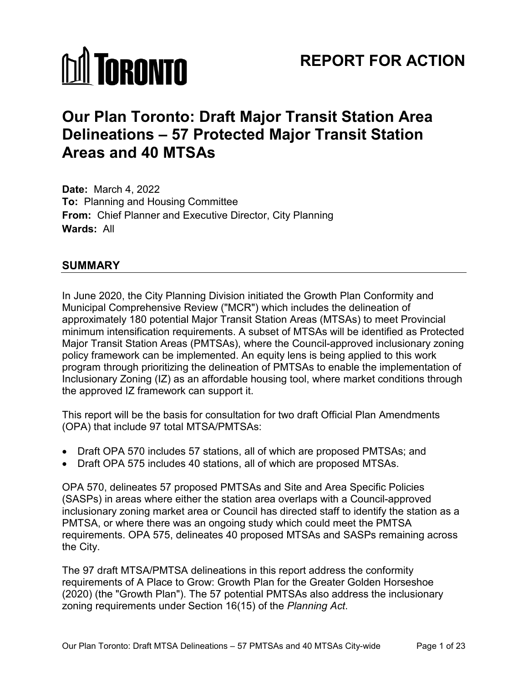# **MI TORONTO**

# **REPORT FOR ACTION**

# **Our Plan Toronto: Draft Major Transit Station Area Delineations – 57 Protected Major Transit Station Areas and 40 MTSAs**

**Date:** March 4, 2022 **To:** Planning and Housing Committee **From:** Chief Planner and Executive Director, City Planning **Wards:** All

#### **SUMMARY**

In June 2020, the City Planning Division initiated the Growth Plan Conformity and Municipal Comprehensive Review ("MCR") which includes the delineation of approximately 180 potential Major Transit Station Areas (MTSAs) to meet Provincial minimum intensification requirements. A subset of MTSAs will be identified as Protected Major Transit Station Areas (PMTSAs), where the Council-approved inclusionary zoning policy framework can be implemented. An equity lens is being applied to this work program through prioritizing the delineation of PMTSAs to enable the implementation of Inclusionary Zoning (IZ) as an affordable housing tool, where market conditions through the approved IZ framework can support it.

This report will be the basis for consultation for two draft Official Plan Amendments (OPA) that include 97 total MTSA/PMTSAs:

- Draft OPA 570 includes 57 stations, all of which are proposed PMTSAs; and
- Draft OPA 575 includes 40 stations, all of which are proposed MTSAs.

OPA 570, delineates 57 proposed PMTSAs and Site and Area Specific Policies (SASPs) in areas where either the station area overlaps with a Council-approved inclusionary zoning market area or Council has directed staff to identify the station as a PMTSA, or where there was an ongoing study which could meet the PMTSA requirements. OPA 575, delineates 40 proposed MTSAs and SASPs remaining across the City.

The 97 draft MTSA/PMTSA delineations in this report address the conformity requirements of A Place to Grow: Growth Plan for the Greater Golden Horseshoe (2020) (the "Growth Plan"). The 57 potential PMTSAs also address the inclusionary zoning requirements under Section 16(15) of the *Planning Act*.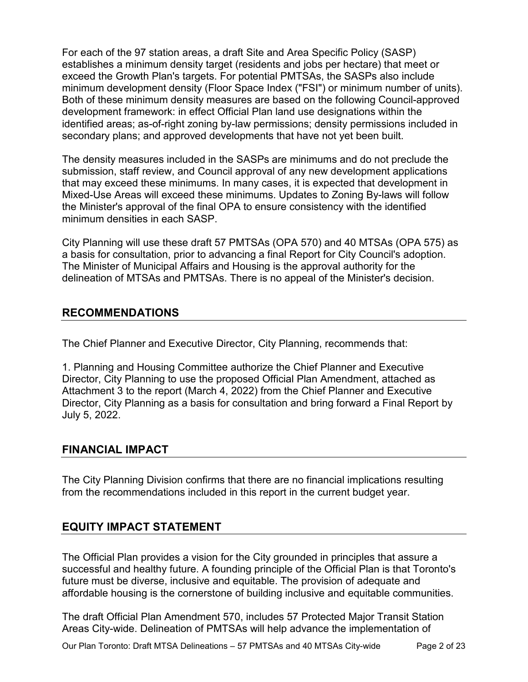For each of the 97 station areas, a draft Site and Area Specific Policy (SASP) establishes a minimum density target (residents and jobs per hectare) that meet or exceed the Growth Plan's targets. For potential PMTSAs, the SASPs also include minimum development density (Floor Space Index ("FSI") or minimum number of units). Both of these minimum density measures are based on the following Council-approved development framework: in effect Official Plan land use designations within the identified areas; as-of-right zoning by-law permissions; density permissions included in secondary plans; and approved developments that have not yet been built.

The density measures included in the SASPs are minimums and do not preclude the submission, staff review, and Council approval of any new development applications that may exceed these minimums. In many cases, it is expected that development in Mixed-Use Areas will exceed these minimums. Updates to Zoning By-laws will follow the Minister's approval of the final OPA to ensure consistency with the identified minimum densities in each SASP

City Planning will use these draft 57 PMTSAs (OPA 570) and 40 MTSAs (OPA 575) as a basis for consultation, prior to advancing a final Report for City Council's adoption. The Minister of Municipal Affairs and Housing is the approval authority for the delineation of MTSAs and PMTSAs. There is no appeal of the Minister's decision.

#### **RECOMMENDATIONS**

The Chief Planner and Executive Director, City Planning, recommends that:

1. Planning and Housing Committee authorize the Chief Planner and Executive Director, City Planning to use the proposed Official Plan Amendment, attached as Attachment 3 to the report (March 4, 2022) from the Chief Planner and Executive Director, City Planning as a basis for consultation and bring forward a Final Report by July 5, 2022.

#### **FINANCIAL IMPACT**

The City Planning Division confirms that there are no financial implications resulting from the recommendations included in this report in the current budget year.

#### **EQUITY IMPACT STATEMENT**

The Official Plan provides a vision for the City grounded in principles that assure a successful and healthy future. A founding principle of the Official Plan is that Toronto's future must be diverse, inclusive and equitable. The provision of adequate and affordable housing is the cornerstone of building inclusive and equitable communities.

The draft Official Plan Amendment 570, includes 57 Protected Major Transit Station Areas City-wide. Delineation of PMTSAs will help advance the implementation of

Our Plan Toronto: Draft MTSA Delineations – 57 PMTSAs and 40 MTSAs City-wide Page 2 of 23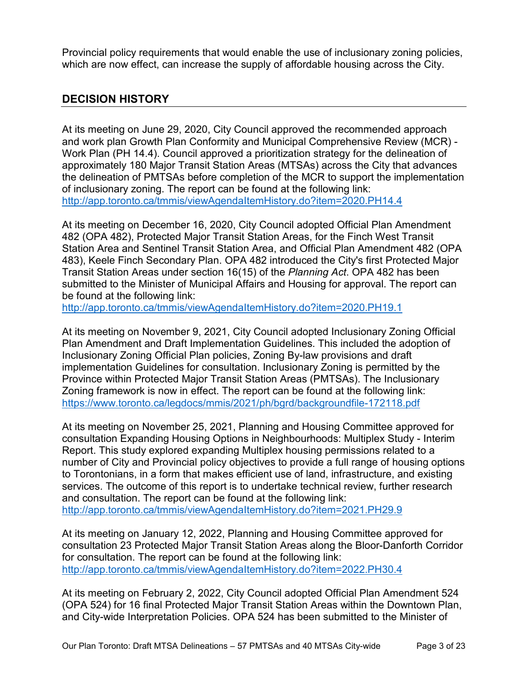Provincial policy requirements that would enable the use of inclusionary zoning policies, which are now effect, can increase the supply of affordable housing across the City.

#### **DECISION HISTORY**

At its meeting on June 29, 2020, City Council approved the recommended approach and work plan Growth Plan Conformity and Municipal Comprehensive Review (MCR) - Work Plan (PH 14.4). Council approved a prioritization strategy for the delineation of approximately 180 Major Transit Station Areas (MTSAs) across the City that advances the delineation of PMTSAs before completion of the MCR to support the implementation of inclusionary zoning. The report can be found at the following link: <http://app.toronto.ca/tmmis/viewAgendaItemHistory.do?item=2020.PH14.4>

At its meeting on December 16, 2020, City Council adopted Official Plan Amendment 482 (OPA 482), Protected Major Transit Station Areas, for the Finch West Transit Station Area and Sentinel Transit Station Area, and Official Plan Amendment 482 (OPA 483), Keele Finch Secondary Plan. OPA 482 introduced the City's first Protected Major Transit Station Areas under section 16(15) of the *Planning Act*. OPA 482 has been submitted to the Minister of Municipal Affairs and Housing for approval. The report can be found at the following link:

<http://app.toronto.ca/tmmis/viewAgendaItemHistory.do?item=2020.PH19.1>

At its meeting on November 9, 2021, City Council adopted Inclusionary Zoning Official Plan Amendment and Draft Implementation Guidelines. This included the adoption of Inclusionary Zoning Official Plan policies, Zoning By-law provisions and draft implementation Guidelines for consultation. Inclusionary Zoning is permitted by the Province within Protected Major Transit Station Areas (PMTSAs). The Inclusionary Zoning framework is now in effect. The report can be found at the following link: <https://www.toronto.ca/legdocs/mmis/2021/ph/bgrd/backgroundfile-172118.pdf>

At its meeting on November 25, 2021, Planning and Housing Committee approved for consultation Expanding Housing Options in Neighbourhoods: Multiplex Study - Interim Report. This study explored expanding Multiplex housing permissions related to a number of City and Provincial policy objectives to provide a full range of housing options to Torontonians, in a form that makes efficient use of land, infrastructure, and existing services. The outcome of this report is to undertake technical review, further research and consultation. The report can be found at the following link: <http://app.toronto.ca/tmmis/viewAgendaItemHistory.do?item=2021.PH29.9>

At its meeting on January 12, 2022, Planning and Housing Committee approved for consultation 23 Protected Major Transit Station Areas along the Bloor-Danforth Corridor for consultation. The report can be found at the following link: <http://app.toronto.ca/tmmis/viewAgendaItemHistory.do?item=2022.PH30.4>

At its meeting on February 2, 2022, City Council adopted Official Plan Amendment 524 (OPA 524) for 16 final Protected Major Transit Station Areas within the Downtown Plan, and City-wide Interpretation Policies. OPA 524 has been submitted to the Minister of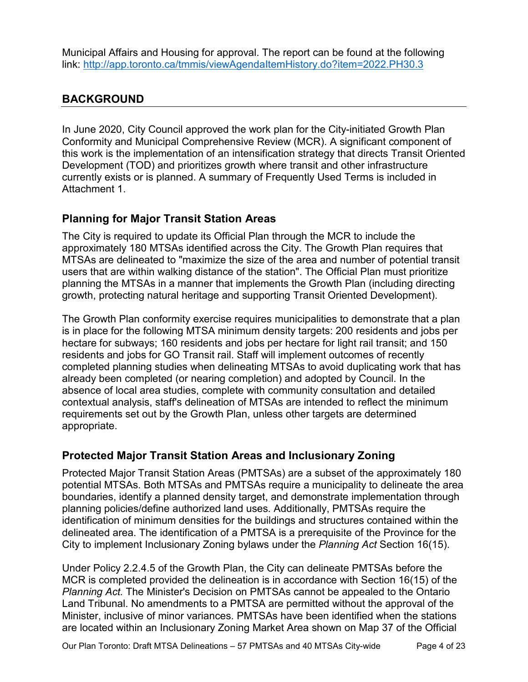Municipal Affairs and Housing for approval. The report can be found at the following link:<http://app.toronto.ca/tmmis/viewAgendaItemHistory.do?item=2022.PH30.3>

#### **BACKGROUND**

In June 2020, City Council approved the work plan for the City-initiated Growth Plan Conformity and Municipal Comprehensive Review (MCR). A significant component of this work is the implementation of an intensification strategy that directs Transit Oriented Development (TOD) and prioritizes growth where transit and other infrastructure currently exists or is planned. A summary of Frequently Used Terms is included in Attachment 1.

#### **Planning for Major Transit Station Areas**

The City is required to update its Official Plan through the MCR to include the approximately 180 MTSAs identified across the City. The Growth Plan requires that MTSAs are delineated to "maximize the size of the area and number of potential transit users that are within walking distance of the station". The Official Plan must prioritize planning the MTSAs in a manner that implements the Growth Plan (including directing growth, protecting natural heritage and supporting Transit Oriented Development).

The Growth Plan conformity exercise requires municipalities to demonstrate that a plan is in place for the following MTSA minimum density targets: 200 residents and jobs per hectare for subways; 160 residents and jobs per hectare for light rail transit; and 150 residents and jobs for GO Transit rail. Staff will implement outcomes of recently completed planning studies when delineating MTSAs to avoid duplicating work that has already been completed (or nearing completion) and adopted by Council. In the absence of local area studies, complete with community consultation and detailed contextual analysis, staff's delineation of MTSAs are intended to reflect the minimum requirements set out by the Growth Plan, unless other targets are determined appropriate.

#### **Protected Major Transit Station Areas and Inclusionary Zoning**

Protected Major Transit Station Areas (PMTSAs) are a subset of the approximately 180 potential MTSAs. Both MTSAs and PMTSAs require a municipality to delineate the area boundaries, identify a planned density target, and demonstrate implementation through planning policies/define authorized land uses. Additionally, PMTSAs require the identification of minimum densities for the buildings and structures contained within the delineated area. The identification of a PMTSA is a prerequisite of the Province for the City to implement Inclusionary Zoning bylaws under the *Planning Act* Section 16(15).

Under Policy 2.2.4.5 of the Growth Plan, the City can delineate PMTSAs before the MCR is completed provided the delineation is in accordance with Section 16(15) of the *Planning Act.* The Minister's Decision on PMTSAs cannot be appealed to the Ontario Land Tribunal. No amendments to a PMTSA are permitted without the approval of the Minister, inclusive of minor variances. PMTSAs have been identified when the stations are located within an Inclusionary Zoning Market Area shown on Map 37 of the Official

Our Plan Toronto: Draft MTSA Delineations – 57 PMTSAs and 40 MTSAs City-wide Page 4 of 23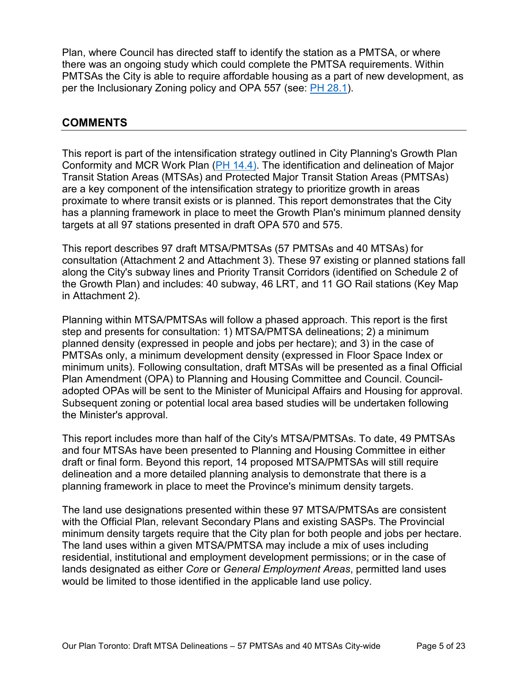Plan, where Council has directed staff to identify the station as a PMTSA, or where there was an ongoing study which could complete the PMTSA requirements. Within PMTSAs the City is able to require affordable housing as a part of new development, as per the Inclusionary Zoning policy and OPA 557 (see: [PH 28.1\)](http://app.toronto.ca/tmmis/viewAgendaItemHistory.do?item=2021.PH28.1).

#### **COMMENTS**

This report is part of the intensification strategy outlined in City Planning's Growth Plan Conformity and MCR Work Plan [\(PH 14.4\)](https://www.toronto.ca/legdocs/mmis/2020/ph/bgrd/backgroundfile-147670.pdf). The identification and delineation of Major Transit Station Areas (MTSAs) and Protected Major Transit Station Areas (PMTSAs) are a key component of the intensification strategy to prioritize growth in areas proximate to where transit exists or is planned. This report demonstrates that the City has a planning framework in place to meet the Growth Plan's minimum planned density targets at all 97 stations presented in draft OPA 570 and 575.

This report describes 97 draft MTSA/PMTSAs (57 PMTSAs and 40 MTSAs) for consultation (Attachment 2 and Attachment 3). These 97 existing or planned stations fall along the City's subway lines and Priority Transit Corridors (identified on Schedule 2 of the Growth Plan) and includes: 40 subway, 46 LRT, and 11 GO Rail stations (Key Map in Attachment 2).

Planning within MTSA/PMTSAs will follow a phased approach. This report is the first step and presents for consultation: 1) MTSA/PMTSA delineations; 2) a minimum planned density (expressed in people and jobs per hectare); and 3) in the case of PMTSAs only, a minimum development density (expressed in Floor Space Index or minimum units). Following consultation, draft MTSAs will be presented as a final Official Plan Amendment (OPA) to Planning and Housing Committee and Council. Counciladopted OPAs will be sent to the Minister of Municipal Affairs and Housing for approval. Subsequent zoning or potential local area based studies will be undertaken following the Minister's approval.

This report includes more than half of the City's MTSA/PMTSAs. To date, 49 PMTSAs and four MTSAs have been presented to Planning and Housing Committee in either draft or final form. Beyond this report, 14 proposed MTSA/PMTSAs will still require delineation and a more detailed planning analysis to demonstrate that there is a planning framework in place to meet the Province's minimum density targets.

The land use designations presented within these 97 MTSA/PMTSAs are consistent with the Official Plan, relevant Secondary Plans and existing SASPs. The Provincial minimum density targets require that the City plan for both people and jobs per hectare. The land uses within a given MTSA/PMTSA may include a mix of uses including residential, institutional and employment development permissions; or in the case of lands designated as either *Core* or *General Employment Areas*, permitted land uses would be limited to those identified in the applicable land use policy.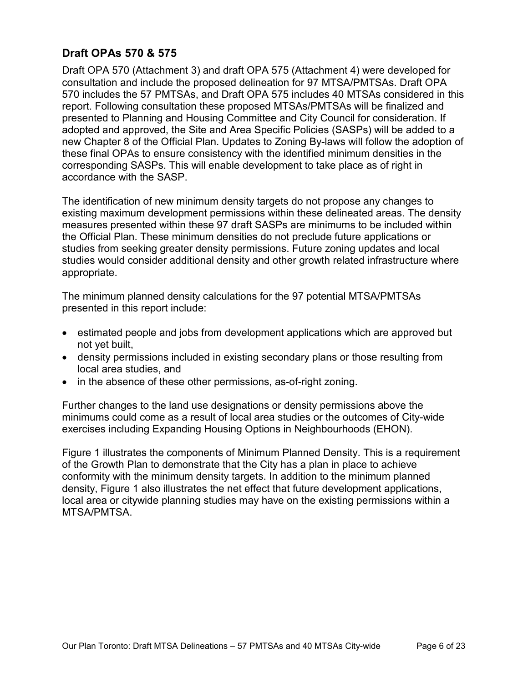#### **Draft OPAs 570 & 575**

Draft OPA 570 (Attachment 3) and draft OPA 575 (Attachment 4) were developed for consultation and include the proposed delineation for 97 MTSA/PMTSAs. Draft OPA 570 includes the 57 PMTSAs, and Draft OPA 575 includes 40 MTSAs considered in this report. Following consultation these proposed MTSAs/PMTSAs will be finalized and presented to Planning and Housing Committee and City Council for consideration. If adopted and approved, the Site and Area Specific Policies (SASPs) will be added to a new Chapter 8 of the Official Plan. Updates to Zoning By-laws will follow the adoption of these final OPAs to ensure consistency with the identified minimum densities in the corresponding SASPs. This will enable development to take place as of right in accordance with the SASP.

The identification of new minimum density targets do not propose any changes to existing maximum development permissions within these delineated areas. The density measures presented within these 97 draft SASPs are minimums to be included within the Official Plan. These minimum densities do not preclude future applications or studies from seeking greater density permissions. Future zoning updates and local studies would consider additional density and other growth related infrastructure where appropriate.

The minimum planned density calculations for the 97 potential MTSA/PMTSAs presented in this report include:

- estimated people and jobs from development applications which are approved but not yet built,
- density permissions included in existing secondary plans or those resulting from local area studies, and
- in the absence of these other permissions, as-of-right zoning.

Further changes to the land use designations or density permissions above the minimums could come as a result of local area studies or the outcomes of City-wide exercises including Expanding Housing Options in Neighbourhoods (EHON).

Figure 1 illustrates the components of Minimum Planned Density. This is a requirement of the Growth Plan to demonstrate that the City has a plan in place to achieve conformity with the minimum density targets. In addition to the minimum planned density, Figure 1 also illustrates the net effect that future development applications, local area or citywide planning studies may have on the existing permissions within a MTSA/PMTSA.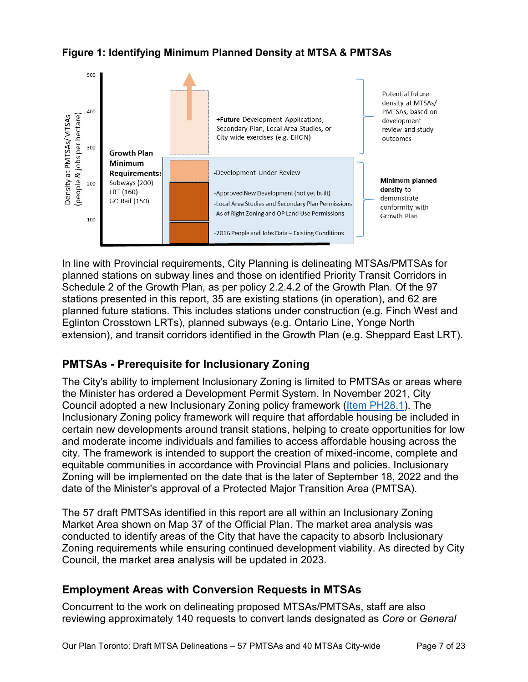



In line with Provincial requirements, City Planning is delineating MTSAs/PMTSAs for planned stations on subway lines and those on identified Priority Transit Corridors in Schedule 2 of the Growth Plan, as per policy 2.2.4.2 of the Growth Plan. Of the 97 stations presented in this report, 35 are existing stations (in operation), and 62 are planned future stations. This includes stations under construction (e.g. Finch West and Eglinton Crosstown LRTs), planned subways (e.g. Ontario Line, Yonge North extension), and transit corridors identified in the Growth Plan (e.g. Sheppard East LRT).

### **PMTSAs - Prerequisite for Inclusionary Zoning**

The City's ability to implement Inclusionary Zoning is limited to PMTSAs or areas where the Minister has ordered a Development Permit System. In November 2021, City Council adopted a new Inclusionary Zoning policy framework [\(Item PH28.1\)](http://app.toronto.ca/tmmis/viewAgendaItemHistory.do?item=2021.PH28.1). The Inclusionary Zoning policy framework will require that affordable housing be included in certain new developments around transit stations, helping to create opportunities for low and moderate income individuals and families to access affordable housing across the city. The framework is intended to support the creation of mixed-income, complete and equitable communities in accordance with Provincial Plans and policies. Inclusionary Zoning will be implemented on the date that is the later of September 18, 2022 and the date of the Minister's approval of a Protected Major Transition Area (PMTSA).

The 57 draft PMTSAs identified in this report are all within an Inclusionary Zoning Market Area shown on Map 37 of the Official Plan. The market area analysis was conducted to identify areas of the City that have the capacity to absorb Inclusionary Zoning requirements while ensuring continued development viability. As directed by City Council, the market area analysis will be updated in 2023.

#### **Employment Areas with Conversion Requests in MTSAs**

Concurrent to the work on delineating proposed MTSAs/PMTSAs, staff are also reviewing approximately 140 requests to convert lands designated as *Core* or *General*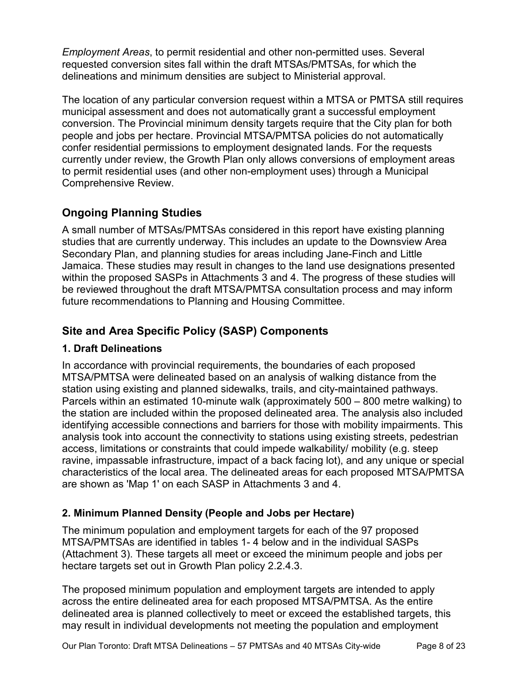*Employment Areas*, to permit residential and other non-permitted uses. Several requested conversion sites fall within the draft MTSAs/PMTSAs, for which the delineations and minimum densities are subject to Ministerial approval.

The location of any particular conversion request within a MTSA or PMTSA still requires municipal assessment and does not automatically grant a successful employment conversion. The Provincial minimum density targets require that the City plan for both people and jobs per hectare. Provincial MTSA/PMTSA policies do not automatically confer residential permissions to employment designated lands. For the requests currently under review, the Growth Plan only allows conversions of employment areas to permit residential uses (and other non-employment uses) through a Municipal Comprehensive Review.

# **Ongoing Planning Studies**

A small number of MTSAs/PMTSAs considered in this report have existing planning studies that are currently underway. This includes an update to the Downsview Area Secondary Plan, and planning studies for areas including Jane-Finch and Little Jamaica. These studies may result in changes to the land use designations presented within the proposed SASPs in Attachments 3 and 4. The progress of these studies will be reviewed throughout the draft MTSA/PMTSA consultation process and may inform future recommendations to Planning and Housing Committee.

# **Site and Area Specific Policy (SASP) Components**

#### **1. Draft Delineations**

In accordance with provincial requirements, the boundaries of each proposed MTSA/PMTSA were delineated based on an analysis of walking distance from the station using existing and planned sidewalks, trails, and city-maintained pathways. Parcels within an estimated 10-minute walk (approximately 500 – 800 metre walking) to the station are included within the proposed delineated area. The analysis also included identifying accessible connections and barriers for those with mobility impairments. This analysis took into account the connectivity to stations using existing streets, pedestrian access, limitations or constraints that could impede walkability/ mobility (e.g. steep ravine, impassable infrastructure, impact of a back facing lot), and any unique or special characteristics of the local area. The delineated areas for each proposed MTSA/PMTSA are shown as 'Map 1' on each SASP in Attachments 3 and 4.

#### **2. Minimum Planned Density (People and Jobs per Hectare)**

The minimum population and employment targets for each of the 97 proposed MTSA/PMTSAs are identified in tables 1- 4 below and in the individual SASPs (Attachment 3). These targets all meet or exceed the minimum people and jobs per hectare targets set out in Growth Plan policy 2.2.4.3.

The proposed minimum population and employment targets are intended to apply across the entire delineated area for each proposed MTSA/PMTSA. As the entire delineated area is planned collectively to meet or exceed the established targets, this may result in individual developments not meeting the population and employment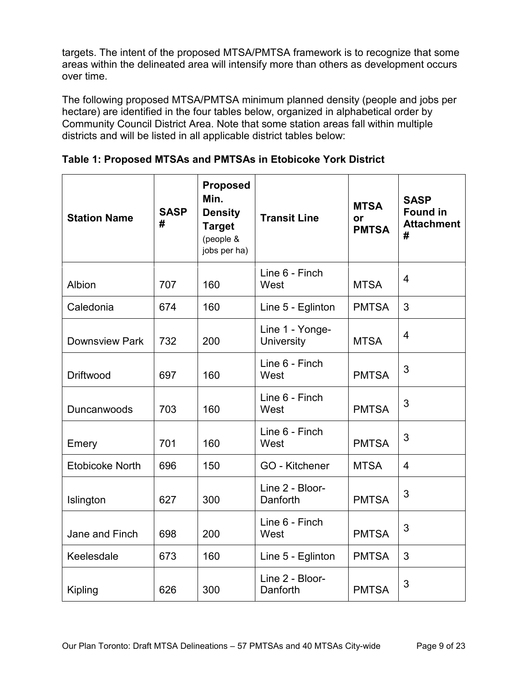targets. The intent of the proposed MTSA/PMTSA framework is to recognize that some areas within the delineated area will intensify more than others as development occurs over time.

The following proposed MTSA/PMTSA minimum planned density (people and jobs per hectare) are identified in the four tables below, organized in alphabetical order by Community Council District Area. Note that some station areas fall within multiple districts and will be listed in all applicable district tables below:

| <b>Station Name</b>    | <b>SASP</b><br># | <b>Proposed</b><br>Min.<br><b>Density</b><br><b>Target</b><br>(people &<br>jobs per ha) | <b>Transit Line</b>           | <b>MTSA</b><br><b>or</b><br><b>PMTSA</b> | <b>SASP</b><br><b>Found in</b><br><b>Attachment</b><br># |
|------------------------|------------------|-----------------------------------------------------------------------------------------|-------------------------------|------------------------------------------|----------------------------------------------------------|
| Albion                 | 707              | 160                                                                                     | Line 6 - Finch<br>West        | <b>MTSA</b>                              | 4                                                        |
| Caledonia              | 674              | 160                                                                                     | Line 5 - Eglinton             | <b>PMTSA</b>                             | 3                                                        |
| <b>Downsview Park</b>  | 732              | 200                                                                                     | Line 1 - Yonge-<br>University | <b>MTSA</b>                              | $\overline{4}$                                           |
| Driftwood              | 697              | 160                                                                                     | Line 6 - Finch<br>West        | <b>PMTSA</b>                             | 3                                                        |
| Duncanwoods            | 703              | 160                                                                                     | Line 6 - Finch<br>West        | <b>PMTSA</b>                             | 3                                                        |
| Emery                  | 701              | 160                                                                                     | Line 6 - Finch<br>West        | <b>PMTSA</b>                             | 3                                                        |
| <b>Etobicoke North</b> | 696              | 150                                                                                     | GO - Kitchener                | <b>MTSA</b>                              | $\overline{4}$                                           |
| Islington              | 627              | 300                                                                                     | Line 2 - Bloor-<br>Danforth   | <b>PMTSA</b>                             | 3                                                        |
| Jane and Finch         | 698              | 200                                                                                     | Line 6 - Finch<br>West        | <b>PMTSA</b>                             | 3                                                        |
| Keelesdale             | 673              | 160                                                                                     | Line 5 - Eglinton             | <b>PMTSA</b>                             | 3                                                        |
| <b>Kipling</b>         | 626              | 300                                                                                     | Line 2 - Bloor-<br>Danforth   | <b>PMTSA</b>                             | 3                                                        |

**Table 1: Proposed MTSAs and PMTSAs in Etobicoke York District**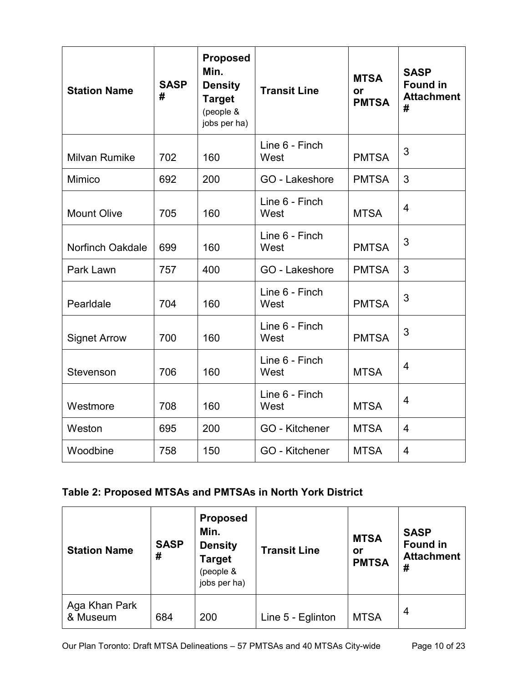| <b>Station Name</b>     | <b>SASP</b><br># | <b>Proposed</b><br>Min.<br><b>Density</b><br><b>Target</b><br>(people &<br>jobs per ha) | <b>Transit Line</b>                   | <b>MTSA</b><br>or<br><b>PMTSA</b> | <b>SASP</b><br><b>Found in</b><br><b>Attachment</b><br># |
|-------------------------|------------------|-----------------------------------------------------------------------------------------|---------------------------------------|-----------------------------------|----------------------------------------------------------|
| <b>Milvan Rumike</b>    | 702              | 160                                                                                     | Line 6 - Finch<br>West                | <b>PMTSA</b>                      | 3                                                        |
| Mimico                  | 692              | 200                                                                                     | GO - Lakeshore                        | <b>PMTSA</b>                      | 3                                                        |
| <b>Mount Olive</b>      | 705              | 160                                                                                     | Line 6 - Finch<br><b>MTSA</b><br>West |                                   | 4                                                        |
| <b>Norfinch Oakdale</b> | 699              | 160                                                                                     | Line 6 - Finch<br>West                | <b>PMTSA</b>                      |                                                          |
| Park Lawn               | 757              | 400                                                                                     | GO - Lakeshore                        | <b>PMTSA</b>                      | 3                                                        |
| Pearldale               | 704              | 160                                                                                     | Line 6 - Finch<br>West                | <b>PMTSA</b>                      | 3                                                        |
| <b>Signet Arrow</b>     | 700              | 160                                                                                     | Line 6 - Finch<br>West                | <b>PMTSA</b>                      | 3                                                        |
| Stevenson               | 706              | 160                                                                                     | Line 6 - Finch<br>West<br><b>MTSA</b> |                                   | $\overline{4}$                                           |
| Westmore                | 708              | 160                                                                                     | Line 6 - Finch<br>West                | <b>MTSA</b>                       | 4                                                        |
| Weston                  | 695              | 200                                                                                     | <b>GO - Kitchener</b>                 | <b>MTSA</b>                       | 4                                                        |
| Woodbine                | 758              | 150                                                                                     | <b>GO</b> - Kitchener<br><b>MTSA</b>  |                                   | 4                                                        |

# **Table 2: Proposed MTSAs and PMTSAs in North York District**

| <b>Station Name</b>       | <b>SASP</b><br># | <b>Proposed</b><br>Min.<br><b>Density</b><br><b>Target</b><br>(people &<br>jobs per ha) | <b>Transit Line</b> | <b>MTSA</b><br>or<br><b>PMTSA</b> | <b>SASP</b><br><b>Found in</b><br><b>Attachment</b><br># |
|---------------------------|------------------|-----------------------------------------------------------------------------------------|---------------------|-----------------------------------|----------------------------------------------------------|
| Aga Khan Park<br>& Museum | 684              | 200                                                                                     | Line 5 - Eglinton   | <b>MTSA</b>                       | 4                                                        |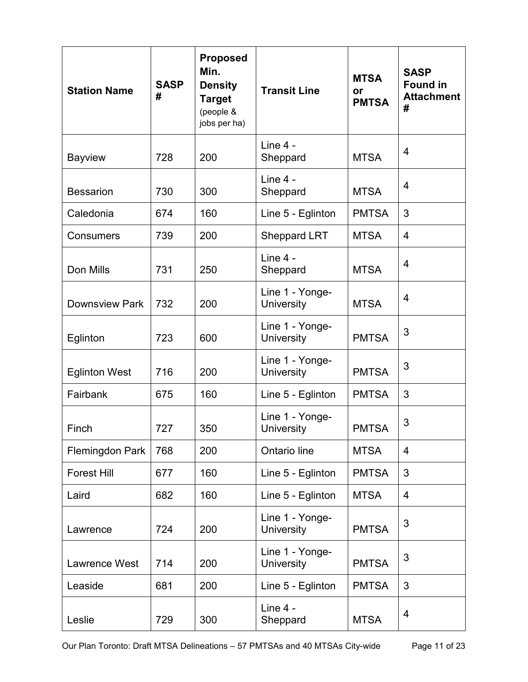| <b>Station Name</b>   | <b>SASP</b><br># | <b>Proposed</b><br>Min.<br><b>Density</b><br><b>Target</b><br>(people &<br>jobs per ha) | <b>Transit Line</b>                                  | <b>MTSA</b><br>or<br><b>PMTSA</b> | <b>SASP</b><br><b>Found in</b><br><b>Attachment</b><br># |
|-----------------------|------------------|-----------------------------------------------------------------------------------------|------------------------------------------------------|-----------------------------------|----------------------------------------------------------|
| <b>Bayview</b>        | 728              | 200                                                                                     | Line 4 -<br>Sheppard                                 | <b>MTSA</b>                       | 4                                                        |
| <b>Bessarion</b>      | 730              | 300                                                                                     | Line 4 -<br>Sheppard                                 | <b>MTSA</b>                       | 4                                                        |
| Caledonia             | 674              | 160                                                                                     | Line 5 - Eglinton                                    | <b>PMTSA</b>                      | 3                                                        |
| Consumers             | 739              | 200                                                                                     | <b>Sheppard LRT</b>                                  | <b>MTSA</b>                       | $\overline{4}$                                           |
| Don Mills             | 731              | 250                                                                                     | Line 4 -<br><b>MTSA</b><br>Sheppard                  |                                   | $\overline{4}$                                           |
| <b>Downsview Park</b> | 732              | 200                                                                                     | Line 1 - Yonge-<br><b>MTSA</b><br>University         |                                   | $\overline{4}$                                           |
| Eglinton              | 723              | 600                                                                                     | Line 1 - Yonge-<br><b>PMTSA</b><br><b>University</b> |                                   | 3                                                        |
| <b>Eglinton West</b>  | 716              | 200                                                                                     | Line 1 - Yonge-<br><b>PMTSA</b><br><b>University</b> |                                   | 3                                                        |
| Fairbank              | 675              | 160                                                                                     | Line 5 - Eglinton                                    | <b>PMTSA</b>                      | 3                                                        |
| Finch                 | 727              | 350                                                                                     | Line 1 - Yonge-<br>University                        | <b>PMTSA</b>                      | 3                                                        |
| Flemingdon Park       | 768              | 200                                                                                     | Ontario line                                         | <b>MTSA</b>                       | $\overline{4}$                                           |
| <b>Forest Hill</b>    | 677              | 160                                                                                     | Line 5 - Eglinton                                    | <b>PMTSA</b>                      | 3                                                        |
| Laird                 | 682              | 160                                                                                     | Line 5 - Eglinton                                    | <b>MTSA</b>                       | $\overline{4}$                                           |
| Lawrence              | 724              | 200                                                                                     | Line 1 - Yonge-<br><b>PMTSA</b><br><b>University</b> |                                   | 3                                                        |
| Lawrence West         | 714              | 200                                                                                     | Line 1 - Yonge-<br><b>University</b><br><b>PMTSA</b> |                                   | 3                                                        |
| Leaside               | 681              | 200                                                                                     | Line 5 - Eglinton                                    | <b>PMTSA</b>                      | 3                                                        |
| Leslie                | 729              | 300                                                                                     | Line 4 -<br><b>MTSA</b><br>Sheppard                  |                                   | 4                                                        |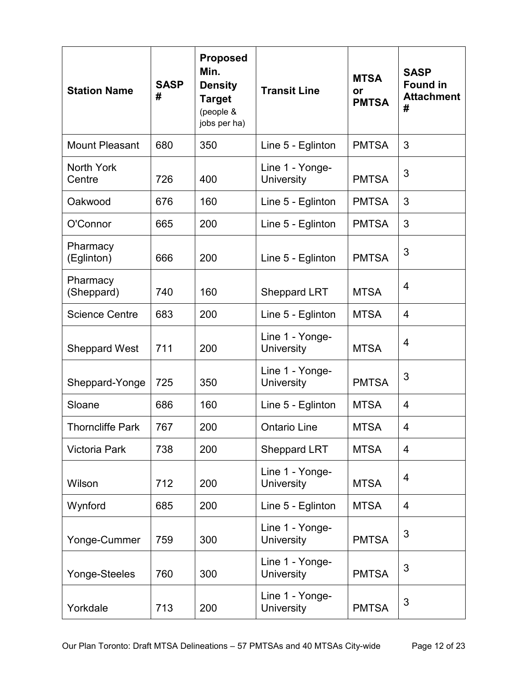| <b>Station Name</b>     | <b>SASP</b><br># | <b>Proposed</b><br>Min.<br><b>Density</b><br><b>Target</b><br>(people &<br>jobs per ha) | <b>Transit Line</b>                                  | <b>MTSA</b><br>or<br><b>PMTSA</b> | <b>SASP</b><br><b>Found in</b><br><b>Attachment</b><br># |
|-------------------------|------------------|-----------------------------------------------------------------------------------------|------------------------------------------------------|-----------------------------------|----------------------------------------------------------|
| <b>Mount Pleasant</b>   | 680              | 350                                                                                     | Line 5 - Eglinton                                    | <b>PMTSA</b>                      | 3                                                        |
| North York<br>Centre    | 726              | 400                                                                                     | Line 1 - Yonge-<br>University                        | <b>PMTSA</b>                      | 3                                                        |
| Oakwood                 | 676              | 160                                                                                     | Line 5 - Eglinton                                    | <b>PMTSA</b>                      | 3                                                        |
| O'Connor                | 665              | 200                                                                                     | Line 5 - Eglinton                                    | <b>PMTSA</b>                      | 3                                                        |
| Pharmacy<br>(Eglinton)  | 666              | 200                                                                                     | <b>PMTSA</b><br>Line 5 - Eglinton                    |                                   | 3                                                        |
| Pharmacy<br>(Sheppard)  | 740              | 160                                                                                     | <b>Sheppard LRT</b>                                  | <b>MTSA</b>                       | 4                                                        |
| <b>Science Centre</b>   | 683              | 200                                                                                     | Line 5 - Eglinton                                    | <b>MTSA</b>                       | 4                                                        |
| <b>Sheppard West</b>    | 711              | 200                                                                                     | Line 1 - Yonge-<br><b>University</b>                 | <b>MTSA</b>                       | 4                                                        |
| Sheppard-Yonge          | 725              | 350                                                                                     | Line 1 - Yonge-<br><b>PMTSA</b><br><b>University</b> |                                   | 3                                                        |
| Sloane                  | 686              | 160                                                                                     | Line 5 - Eglinton                                    | <b>MTSA</b>                       | 4                                                        |
| <b>Thorncliffe Park</b> | 767              | 200                                                                                     | <b>Ontario Line</b>                                  | <b>MTSA</b>                       | 4                                                        |
| <b>Victoria Park</b>    | 738              | 200                                                                                     | <b>Sheppard LRT</b>                                  | <b>MTSA</b>                       | 4                                                        |
| Wilson                  | 712              | 200                                                                                     | Line 1 - Yonge-<br><b>University</b>                 | <b>MTSA</b>                       | 4                                                        |
| Wynford                 | 685              | 200                                                                                     | Line 5 - Eglinton                                    | <b>MTSA</b>                       | 4                                                        |
| Yonge-Cummer            | 759              | 300                                                                                     | Line 1 - Yonge-<br><b>PMTSA</b><br><b>University</b> |                                   | 3                                                        |
| Yonge-Steeles           | 760              | 300                                                                                     | Line 1 - Yonge-<br><b>University</b><br><b>PMTSA</b> |                                   | 3                                                        |
| Yorkdale                | 713              | 200                                                                                     | Line 1 - Yonge-<br><b>University</b><br><b>PMTSA</b> |                                   | 3                                                        |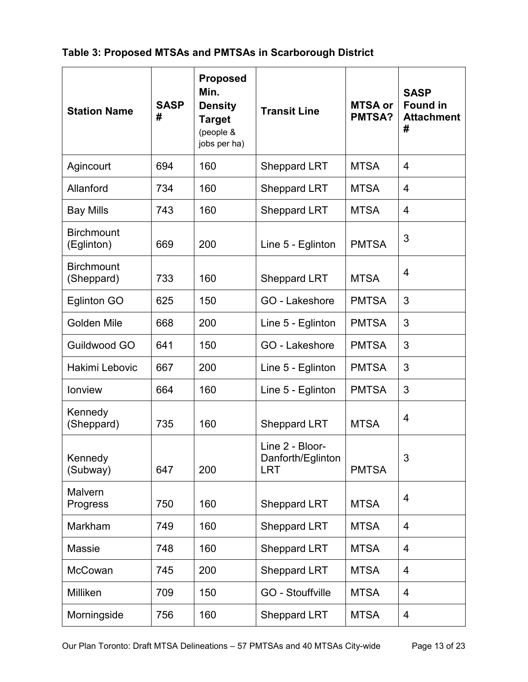#### **Table 3: Proposed MTSAs and PMTSAs in Scarborough District**

| <b>Station Name</b>             | <b>SASP</b><br># | <b>Proposed</b><br>Min.<br><b>Density</b><br><b>Target</b><br>(people &<br>jobs per ha) | <b>Transit Line</b>                                | <b>MTSA or</b><br><b>PMTSA?</b> | <b>SASP</b><br><b>Found in</b><br><b>Attachment</b><br># |
|---------------------------------|------------------|-----------------------------------------------------------------------------------------|----------------------------------------------------|---------------------------------|----------------------------------------------------------|
| Agincourt                       | 694              | 160                                                                                     | <b>Sheppard LRT</b>                                | <b>MTSA</b>                     | $\overline{4}$                                           |
| Allanford                       | 734              | 160                                                                                     | <b>Sheppard LRT</b>                                | <b>MTSA</b>                     | $\overline{4}$                                           |
| <b>Bay Mills</b>                | 743              | 160                                                                                     | <b>Sheppard LRT</b>                                | <b>MTSA</b>                     | $\overline{4}$                                           |
| <b>Birchmount</b><br>(Eglinton) | 669              | 200                                                                                     | Line 5 - Eglinton                                  | <b>PMTSA</b>                    | 3                                                        |
| <b>Birchmount</b><br>(Sheppard) | 733              | 160                                                                                     | <b>Sheppard LRT</b><br><b>MTSA</b>                 |                                 | $\overline{4}$                                           |
| <b>Eglinton GO</b>              | 625              | 150                                                                                     | <b>GO</b> - Lakeshore                              | <b>PMTSA</b>                    | 3                                                        |
| <b>Golden Mile</b>              | 668              | 200                                                                                     | Line 5 - Eglinton<br><b>PMTSA</b>                  |                                 | 3                                                        |
| Guildwood GO                    | 641              | 150                                                                                     | GO - Lakeshore<br><b>PMTSA</b>                     |                                 | 3                                                        |
| Hakimi Lebovic                  | 667              | 200                                                                                     | Line 5 - Eglinton<br><b>PMTSA</b>                  |                                 | 3                                                        |
| lonview                         | 664              | 160                                                                                     | Line 5 - Eglinton                                  | <b>PMTSA</b>                    | 3                                                        |
| Kennedy<br>(Sheppard)           | 735              | 160                                                                                     | <b>Sheppard LRT</b>                                | <b>MTSA</b>                     | 4                                                        |
| Kennedy<br>(Subway)             | 647              | 200                                                                                     | Line 2 - Bloor-<br>Danforth/Eglinton<br><b>LRT</b> | <b>PMTSA</b>                    | 3                                                        |
| Malvern<br>Progress             | 750              | 160                                                                                     | <b>Sheppard LRT</b>                                | <b>MTSA</b>                     | $\overline{4}$                                           |
| Markham                         | 749              | 160                                                                                     | Sheppard LRT                                       | <b>MTSA</b>                     | $\overline{4}$                                           |
| <b>Massie</b>                   | 748              | 160                                                                                     | <b>Sheppard LRT</b>                                | <b>MTSA</b>                     | $\overline{4}$                                           |
| <b>McCowan</b>                  | 745              | 200                                                                                     | <b>Sheppard LRT</b>                                | <b>MTSA</b>                     | 4                                                        |
| Milliken                        | 709              | 150                                                                                     | <b>GO - Stouffville</b>                            | <b>MTSA</b>                     | $\overline{4}$                                           |
| Morningside                     | 756              | 160                                                                                     | <b>Sheppard LRT</b><br><b>MTSA</b>                 |                                 | $\overline{4}$                                           |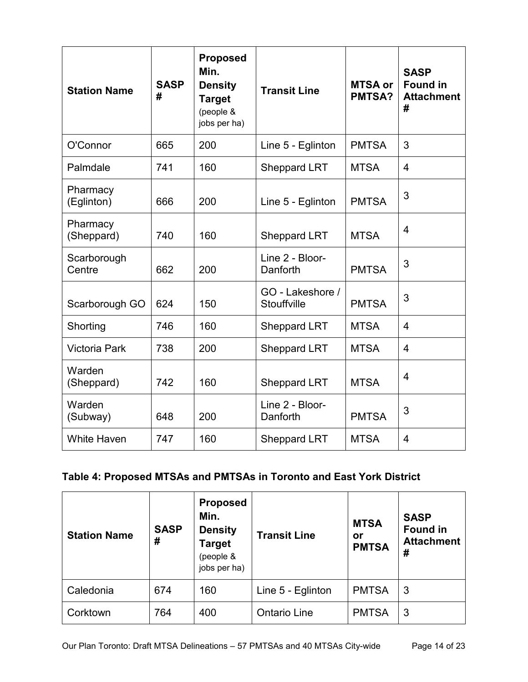| <b>Station Name</b>    | <b>SASP</b><br># | <b>Proposed</b><br>Min.<br><b>Density</b><br><b>Target</b><br>(people &<br>jobs per ha) | <b>Transit Line</b>                | <b>MTSA or</b><br><b>PMTSA?</b> | <b>SASP</b><br><b>Found in</b><br><b>Attachment</b><br># |
|------------------------|------------------|-----------------------------------------------------------------------------------------|------------------------------------|---------------------------------|----------------------------------------------------------|
| O'Connor               | 665              | 200                                                                                     | Line 5 - Eglinton                  | <b>PMTSA</b>                    | 3                                                        |
| Palmdale               | 741              | 160                                                                                     | <b>Sheppard LRT</b>                | <b>MTSA</b>                     | $\overline{4}$                                           |
| Pharmacy<br>(Eglinton) | 666              | 200                                                                                     | Line 5 - Eglinton                  | <b>PMTSA</b>                    | 3                                                        |
| Pharmacy<br>(Sheppard) | 740              | 160                                                                                     | <b>Sheppard LRT</b>                | <b>MTSA</b>                     | $\overline{4}$                                           |
| Scarborough<br>Centre  | 662              | 200                                                                                     | Line 2 - Bloor-<br>Danforth        | <b>PMTSA</b>                    | 3                                                        |
| Scarborough GO         | 624              | 150                                                                                     | GO - Lakeshore /<br>Stouffville    | <b>PMTSA</b>                    | 3                                                        |
| Shorting               | 746              | 160                                                                                     | <b>Sheppard LRT</b>                | <b>MTSA</b>                     | $\overline{4}$                                           |
| <b>Victoria Park</b>   | 738              | 200                                                                                     | <b>Sheppard LRT</b>                | <b>MTSA</b>                     | $\overline{4}$                                           |
| Warden<br>(Sheppard)   | 742              | 160                                                                                     | <b>Sheppard LRT</b>                | <b>MTSA</b>                     | $\overline{4}$                                           |
| Warden<br>(Subway)     | 648              | 200                                                                                     | Line 2 - Bloor-<br>Danforth        | <b>PMTSA</b>                    | 3                                                        |
| <b>White Haven</b>     | 747              | 160                                                                                     | <b>MTSA</b><br><b>Sheppard LRT</b> |                                 | $\overline{4}$                                           |

# **Table 4: Proposed MTSAs and PMTSAs in Toronto and East York District**

| <b>Station Name</b> | <b>SASP</b><br># | <b>Proposed</b><br>Min.<br><b>Density</b><br><b>Target</b><br>(people &<br>jobs per ha) | <b>Transit Line</b> | <b>MTSA</b><br>or<br><b>PMTSA</b> | <b>SASP</b><br><b>Found in</b><br><b>Attachment</b><br># |
|---------------------|------------------|-----------------------------------------------------------------------------------------|---------------------|-----------------------------------|----------------------------------------------------------|
| Caledonia           | 674              | 160                                                                                     | Line 5 - Eglinton   | <b>PMTSA</b>                      | -3                                                       |
| Corktown            | 764              | 400                                                                                     | <b>Ontario Line</b> | <b>PMTSA</b>                      | -3                                                       |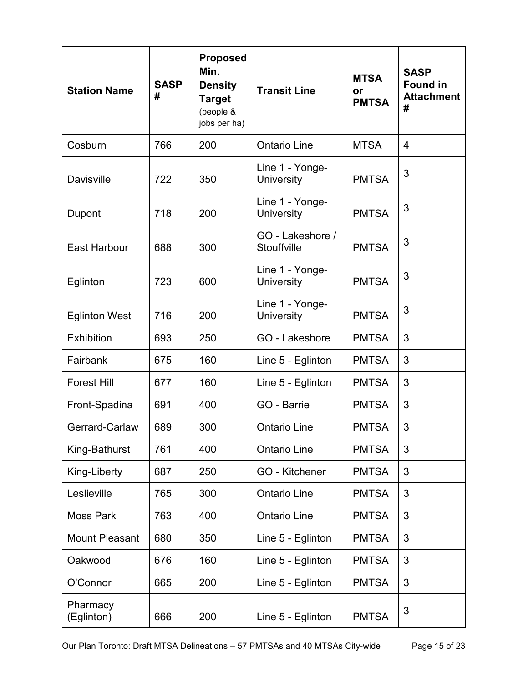| <b>Station Name</b>    | <b>SASP</b><br># | <b>Proposed</b><br>Min.<br><b>Density</b><br><b>Target</b><br>(people &<br>jobs per ha) | <b>Transit Line</b>                  | <b>MTSA</b><br>or<br><b>PMTSA</b> | <b>SASP</b><br><b>Found in</b><br><b>Attachment</b><br># |
|------------------------|------------------|-----------------------------------------------------------------------------------------|--------------------------------------|-----------------------------------|----------------------------------------------------------|
| Cosburn                | 766              | 200                                                                                     | <b>Ontario Line</b>                  | <b>MTSA</b>                       | 4                                                        |
| <b>Davisville</b>      | 722              | 350                                                                                     | Line 1 - Yonge-<br><b>University</b> | <b>PMTSA</b>                      | 3                                                        |
| Dupont                 | 718              | 200                                                                                     | Line 1 - Yonge-<br><b>University</b> | <b>PMTSA</b>                      | 3                                                        |
| <b>East Harbour</b>    | 688              | 300                                                                                     | GO - Lakeshore /<br>Stouffville      | <b>PMTSA</b>                      | 3                                                        |
| Eglinton               | 723              | 600                                                                                     | Line 1 - Yonge-<br><b>University</b> | <b>PMTSA</b>                      | 3                                                        |
| <b>Eglinton West</b>   | 716              | 200                                                                                     | Line 1 - Yonge-<br><b>University</b> | <b>PMTSA</b>                      | 3                                                        |
| <b>Exhibition</b>      | 693              | 250                                                                                     | GO - Lakeshore                       | <b>PMTSA</b>                      | 3                                                        |
| Fairbank               | 675              | 160                                                                                     | Line 5 - Eglinton                    | <b>PMTSA</b>                      | 3                                                        |
| <b>Forest Hill</b>     | 677              | 160                                                                                     | Line 5 - Eglinton                    | <b>PMTSA</b>                      | 3                                                        |
| Front-Spadina          | 691              | 400                                                                                     | GO - Barrie                          | <b>PMTSA</b>                      | 3                                                        |
| Gerrard-Carlaw         | 689              | 300                                                                                     | <b>Ontario Line</b>                  | <b>PMTSA</b>                      | 3                                                        |
| King-Bathurst          | 761              | 400                                                                                     | <b>Ontario Line</b>                  | <b>PMTSA</b>                      | 3                                                        |
| King-Liberty           | 687              | 250                                                                                     | GO - Kitchener                       | <b>PMTSA</b>                      | 3                                                        |
| Leslieville            | 765              | 300                                                                                     | <b>Ontario Line</b>                  | <b>PMTSA</b>                      | 3                                                        |
| <b>Moss Park</b>       | 763              | 400                                                                                     | <b>Ontario Line</b>                  | <b>PMTSA</b>                      | 3                                                        |
| <b>Mount Pleasant</b>  | 680              | 350                                                                                     | Line 5 - Eglinton                    | <b>PMTSA</b>                      | 3                                                        |
| Oakwood                | 676              | 160                                                                                     | Line 5 - Eglinton                    | <b>PMTSA</b>                      | 3                                                        |
| O'Connor               | 665              | 200                                                                                     | Line 5 - Eglinton                    | <b>PMTSA</b>                      | 3                                                        |
| Pharmacy<br>(Eglinton) | 666              | 200                                                                                     | Line 5 - Eglinton                    | <b>PMTSA</b>                      | 3                                                        |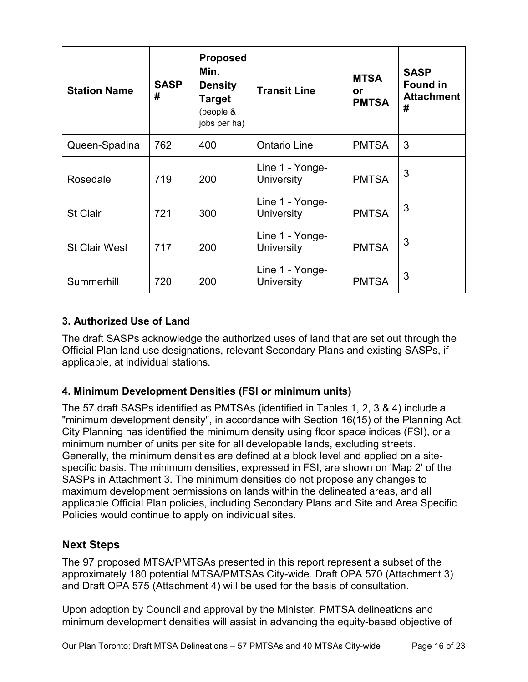| <b>Station Name</b>  | <b>SASP</b><br># | <b>Proposed</b><br>Min.<br><b>Density</b><br><b>Target</b><br>(people &<br>jobs per ha) | <b>Transit Line</b>                  | <b>MTSA</b><br><b>or</b><br><b>PMTSA</b> | <b>SASP</b><br><b>Found in</b><br><b>Attachment</b><br># |
|----------------------|------------------|-----------------------------------------------------------------------------------------|--------------------------------------|------------------------------------------|----------------------------------------------------------|
| Queen-Spadina        | 762              | 400                                                                                     | <b>Ontario Line</b>                  | <b>PMTSA</b>                             | 3                                                        |
| Rosedale             | 719              | 200                                                                                     | Line 1 - Yonge-<br>University        | <b>PMTSA</b>                             | 3                                                        |
| <b>St Clair</b>      | 721              | 300                                                                                     | Line 1 - Yonge-<br><b>University</b> | <b>PMTSA</b>                             | 3                                                        |
| <b>St Clair West</b> | 717              | 200                                                                                     | Line 1 - Yonge-<br><b>University</b> | <b>PMTSA</b>                             | 3                                                        |
| Summerhill           | 720              | 200                                                                                     | Line 1 - Yonge-<br>University        | <b>PMTSA</b>                             | 3                                                        |

#### **3. Authorized Use of Land**

The draft SASPs acknowledge the authorized uses of land that are set out through the Official Plan land use designations, relevant Secondary Plans and existing SASPs, if applicable, at individual stations.

#### **4. Minimum Development Densities (FSI or minimum units)**

The 57 draft SASPs identified as PMTSAs (identified in Tables 1, 2, 3 & 4) include a "minimum development density", in accordance with Section 16(15) of the Planning Act. City Planning has identified the minimum density using floor space indices (FSI), or a minimum number of units per site for all developable lands, excluding streets. Generally, the minimum densities are defined at a block level and applied on a sitespecific basis. The minimum densities, expressed in FSI, are shown on 'Map 2' of the SASPs in Attachment 3. The minimum densities do not propose any changes to maximum development permissions on lands within the delineated areas, and all applicable Official Plan policies, including Secondary Plans and Site and Area Specific Policies would continue to apply on individual sites.

#### **Next Steps**

The 97 proposed MTSA/PMTSAs presented in this report represent a subset of the approximately 180 potential MTSA/PMTSAs City-wide. Draft OPA 570 (Attachment 3) and Draft OPA 575 (Attachment 4) will be used for the basis of consultation.

Upon adoption by Council and approval by the Minister, PMTSA delineations and minimum development densities will assist in advancing the equity-based objective of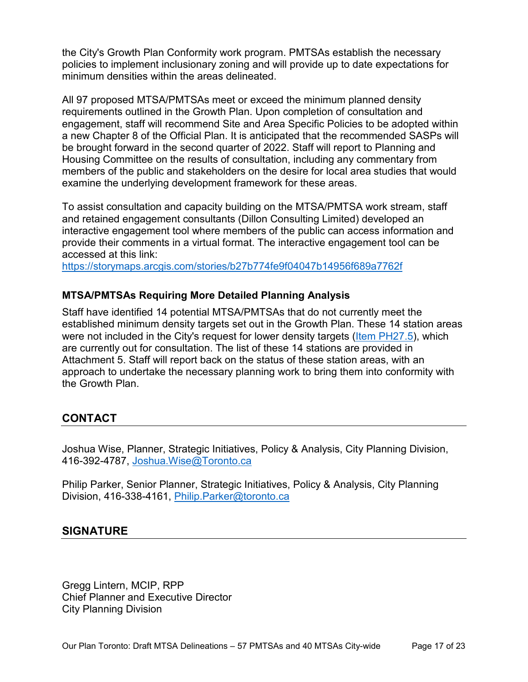the City's Growth Plan Conformity work program. PMTSAs establish the necessary policies to implement inclusionary zoning and will provide up to date expectations for minimum densities within the areas delineated.

All 97 proposed MTSA/PMTSAs meet or exceed the minimum planned density requirements outlined in the Growth Plan. Upon completion of consultation and engagement, staff will recommend Site and Area Specific Policies to be adopted within a new Chapter 8 of the Official Plan. It is anticipated that the recommended SASPs will be brought forward in the second quarter of 2022. Staff will report to Planning and Housing Committee on the results of consultation, including any commentary from members of the public and stakeholders on the desire for local area studies that would examine the underlying development framework for these areas.

To assist consultation and capacity building on the MTSA/PMTSA work stream, staff and retained engagement consultants (Dillon Consulting Limited) developed an interactive engagement tool where members of the public can access information and provide their comments in a virtual format. The interactive engagement tool can be accessed at this link:

<https://storymaps.arcgis.com/stories/b27b774fe9f04047b14956f689a7762f>

#### **MTSA/PMTSAs Requiring More Detailed Planning Analysis**

Staff have identified 14 potential MTSA/PMTSAs that do not currently meet the established minimum density targets set out in the Growth Plan. These 14 station areas were not included in the City's request for lower density targets [\(Item PH27.5\)](http://app.toronto.ca/tmmis/viewAgendaItemHistory.do?item=2021.PH27.5), which are currently out for consultation. The list of these 14 stations are provided in Attachment 5. Staff will report back on the status of these station areas, with an approach to undertake the necessary planning work to bring them into conformity with the Growth Plan.

#### **CONTACT**

Joshua Wise, Planner, Strategic Initiatives, Policy & Analysis, City Planning Division, 416-392-4787, [Joshua.Wise@Toronto.ca](mailto:Joshua.Wise@Toronto.ca)

Philip Parker, Senior Planner, Strategic Initiatives, Policy & Analysis, City Planning Division, 416-338-4161, [Philip.Parker@toronto.ca](mailto:Philip.Parker@toronto.ca)

#### **SIGNATURE**

Gregg Lintern, MCIP, RPP Chief Planner and Executive Director City Planning Division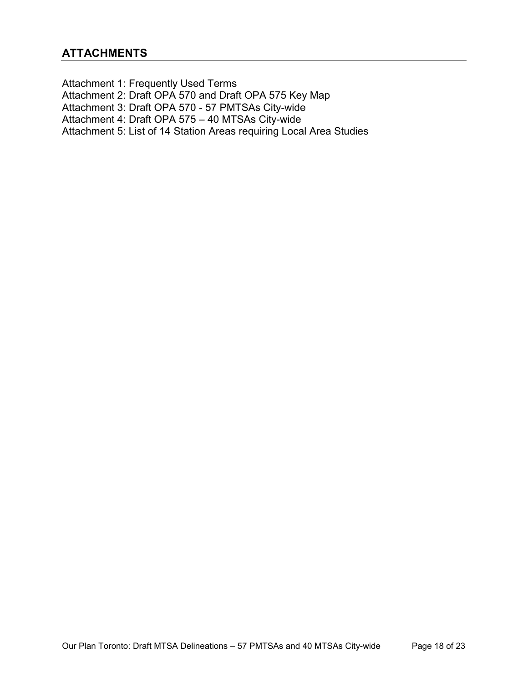Attachment 1: Frequently Used Terms Attachment 2: Draft OPA 570 and Draft OPA 575 Key Map Attachment 3: Draft OPA 570 - 57 PMTSAs City-wide Attachment 4: Draft OPA 575 – 40 MTSAs City-wide Attachment 5: List of 14 Station Areas requiring Local Area Studies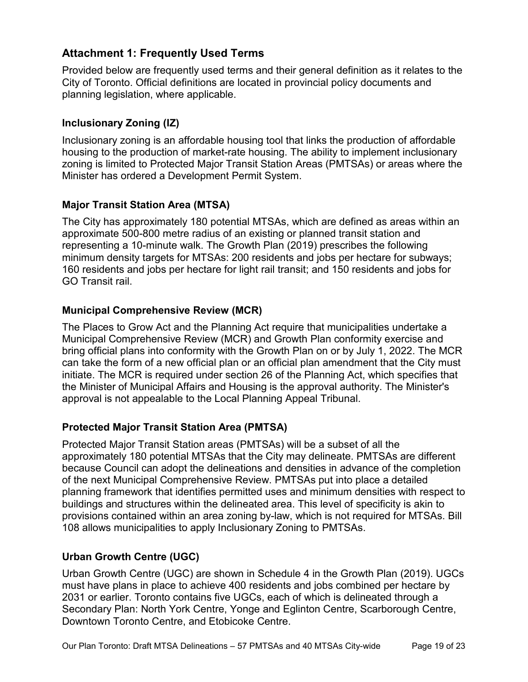#### **Attachment 1: Frequently Used Terms**

Provided below are frequently used terms and their general definition as it relates to the City of Toronto. Official definitions are located in provincial policy documents and planning legislation, where applicable.

#### **Inclusionary Zoning (IZ)**

Inclusionary zoning is an affordable housing tool that links the production of affordable housing to the production of market-rate housing. The ability to implement inclusionary zoning is limited to Protected Major Transit Station Areas (PMTSAs) or areas where the Minister has ordered a Development Permit System.

#### **Major Transit Station Area (MTSA)**

The City has approximately 180 potential MTSAs, which are defined as areas within an approximate 500-800 metre radius of an existing or planned transit station and representing a 10-minute walk. The Growth Plan (2019) prescribes the following minimum density targets for MTSAs: 200 residents and jobs per hectare for subways; 160 residents and jobs per hectare for light rail transit; and 150 residents and jobs for GO Transit rail.

#### **Municipal Comprehensive Review (MCR)**

The Places to Grow Act and the Planning Act require that municipalities undertake a Municipal Comprehensive Review (MCR) and Growth Plan conformity exercise and bring official plans into conformity with the Growth Plan on or by July 1, 2022. The MCR can take the form of a new official plan or an official plan amendment that the City must initiate. The MCR is required under section 26 of the Planning Act, which specifies that the Minister of Municipal Affairs and Housing is the approval authority. The Minister's approval is not appealable to the Local Planning Appeal Tribunal.

#### **Protected Major Transit Station Area (PMTSA)**

Protected Major Transit Station areas (PMTSAs) will be a subset of all the approximately 180 potential MTSAs that the City may delineate. PMTSAs are different because Council can adopt the delineations and densities in advance of the completion of the next Municipal Comprehensive Review. PMTSAs put into place a detailed planning framework that identifies permitted uses and minimum densities with respect to buildings and structures within the delineated area. This level of specificity is akin to provisions contained within an area zoning by-law, which is not required for MTSAs. Bill 108 allows municipalities to apply Inclusionary Zoning to PMTSAs.

#### **Urban Growth Centre (UGC)**

Urban Growth Centre (UGC) are shown in Schedule 4 in the Growth Plan (2019). UGCs must have plans in place to achieve 400 residents and jobs combined per hectare by 2031 or earlier. Toronto contains five UGCs, each of which is delineated through a Secondary Plan: North York Centre, Yonge and Eglinton Centre, Scarborough Centre, Downtown Toronto Centre, and Etobicoke Centre.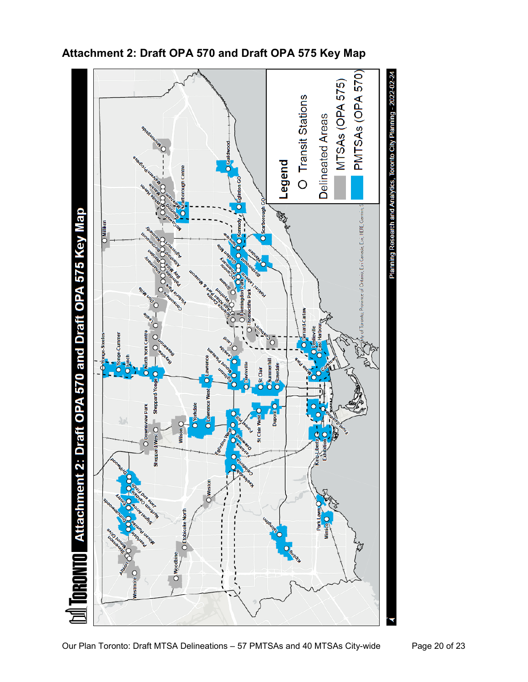

# **Attachment 2: Draft OPA 570 and Draft OPA 575 Key Map**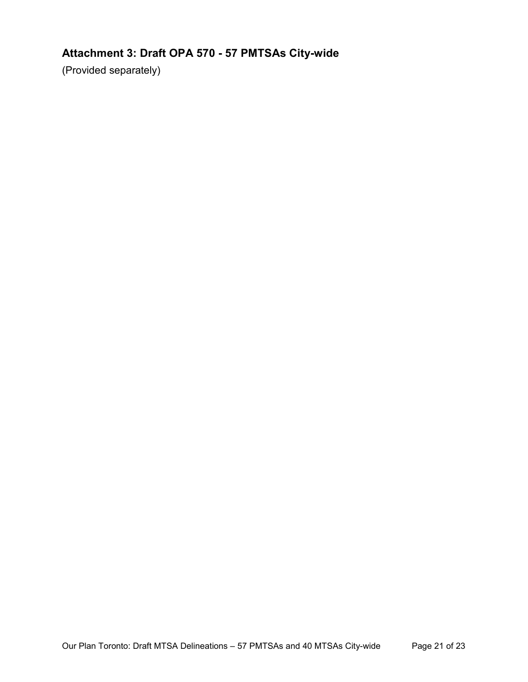# **Attachment 3: Draft OPA 570 - 57 PMTSAs City-wide**

(Provided separately)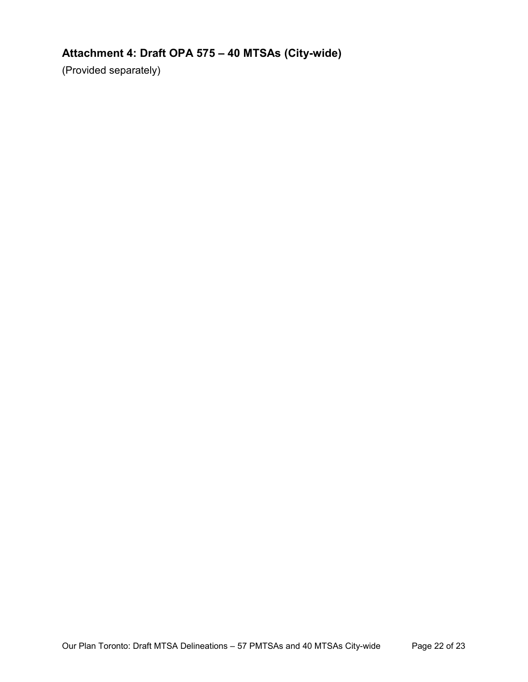# **Attachment 4: Draft OPA 575 – 40 MTSAs (City-wide)**

(Provided separately)